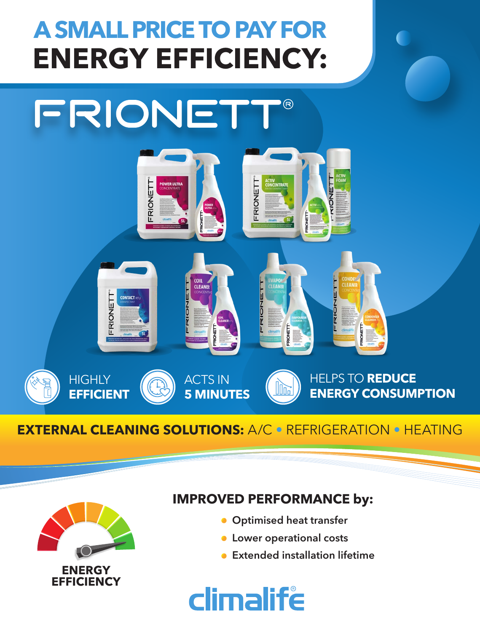## **ENERGY EFFICIENCY: A SMALL PRICE TO PAY FOR**



## **EXTERNAL CLEANING SOLUTIONS:** A/C • REFRIGERATION • HEATING



## **IMPROVED PERFORMANCE by:**

- **Optimised heat transfer**
- **C** Lower operational costs
- **Extended installation lifetime**